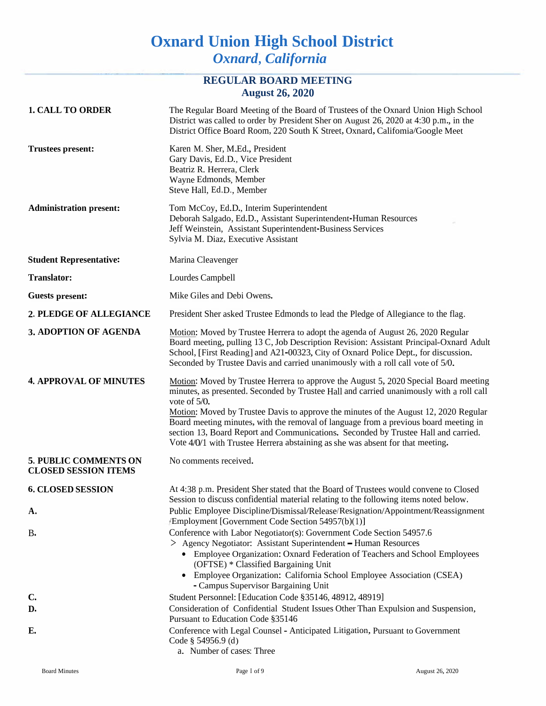## **Oxnard Union High School District** *Oxnard, California*

### **REGULAR BOARD MEETING August 26, 2020**

| <b>1. CALL TO ORDER</b>                                     | The Regular Board Meeting of the Board of Trustees of the Oxnard Union High School<br>District was called to order by President Sher on August 26, 2020 at 4:30 p.m., in the<br>District Office Board Room, 220 South K Street, Oxnard, Califomia/Google Meet                                                                                                                                                                                                                                                                                               |  |
|-------------------------------------------------------------|-------------------------------------------------------------------------------------------------------------------------------------------------------------------------------------------------------------------------------------------------------------------------------------------------------------------------------------------------------------------------------------------------------------------------------------------------------------------------------------------------------------------------------------------------------------|--|
| <b>Trustees present:</b>                                    | Karen M. Sher, M.Ed., President<br>Gary Davis, Ed.D., Vice President<br>Beatriz R. Herrera, Clerk<br>Wayne Edmonds, Member<br>Steve Hall, Ed.D., Member                                                                                                                                                                                                                                                                                                                                                                                                     |  |
| <b>Administration present:</b>                              | Tom McCoy, Ed.D., Interim Superintendent<br>Deborah Salgado, Ed.D., Assistant Superintendent-Human Resources<br>Jeff Weinstein, Assistant Superintendent-Business Services<br>Sylvia M. Diaz, Executive Assistant                                                                                                                                                                                                                                                                                                                                           |  |
| <b>Student Representative:</b>                              | Marina Cleavenger                                                                                                                                                                                                                                                                                                                                                                                                                                                                                                                                           |  |
| <b>Translator:</b>                                          | Lourdes Campbell                                                                                                                                                                                                                                                                                                                                                                                                                                                                                                                                            |  |
| <b>Guests present:</b>                                      | Mike Giles and Debi Owens.                                                                                                                                                                                                                                                                                                                                                                                                                                                                                                                                  |  |
| 2. PLEDGE OF ALLEGIANCE                                     | President Sher asked Trustee Edmonds to lead the Pledge of Allegiance to the flag.                                                                                                                                                                                                                                                                                                                                                                                                                                                                          |  |
| 3. ADOPTION OF AGENDA                                       | Motion: Moved by Trustee Herrera to adopt the agenda of August 26, 2020 Regular<br>Board meeting, pulling 13 C, Job Description Revision: Assistant Principal-Oxnard Adult<br>School, [First Reading] and A21-00323, City of Oxnard Police Dept., for discussion.<br>Seconded by Trustee Davis and carried unanimously with a roll call vote of 5/0.                                                                                                                                                                                                        |  |
| <b>4. APPROVAL OF MINUTES</b>                               | Motion: Moved by Trustee Herrera to approve the August 5, 2020 Special Board meeting<br>minutes, as presented. Seconded by Trustee Hall and carried unanimously with a roll call<br>vote of $5/0$ .<br>Motion: Moved by Trustee Davis to approve the minutes of the August 12, 2020 Regular<br>Board meeting minutes, with the removal of language from a previous board meeting in<br>section 13, Board Report and Communications. Seconded by Trustee Hall and carried.<br>Vote 4/0/1 with Trustee Herrera abstaining as she was absent for that meeting. |  |
| <b>5. PUBLIC COMMENTS ON</b><br><b>CLOSED SESSION ITEMS</b> | No comments received.                                                                                                                                                                                                                                                                                                                                                                                                                                                                                                                                       |  |
| <b>6. CLOSED SESSION</b>                                    | At 4:38 p.m. President Sher stated that the Board of Trustees would convene to Closed<br>Session to discuss confidential material relating to the following items noted below.                                                                                                                                                                                                                                                                                                                                                                              |  |
| A.                                                          | Public Employee Discipline/Dismissal/Release/Resignation/Appointment/Reassignment<br>Employment [Government Code Section 54957(b)(1)]                                                                                                                                                                                                                                                                                                                                                                                                                       |  |
| <b>B.</b>                                                   | Conference with Labor Negotiator(s): Government Code Section 54957.6<br>> Agency Negotiator: Assistant Superintendent - Human Resources<br>• Employee Organization: Oxnard Federation of Teachers and School Employees<br>(OFTSE) * Classified Bargaining Unit<br>• Employee Organization: California School Employee Association (CSEA)<br>- Campus Supervisor Bargaining Unit                                                                                                                                                                             |  |
| $\mathbf{C}$                                                | Student Personnel: [Education Code §35146, 48912, 48919]                                                                                                                                                                                                                                                                                                                                                                                                                                                                                                    |  |
| D.                                                          | Consideration of Confidential Student Issues Other Than Expulsion and Suspension,                                                                                                                                                                                                                                                                                                                                                                                                                                                                           |  |
| E.                                                          | Pursuant to Education Code §35146<br>Conference with Legal Counsel - Anticipated Litigation, Pursuant to Government<br>Code $\S$ 54956.9 (d)<br>a. Number of cases: Three                                                                                                                                                                                                                                                                                                                                                                                   |  |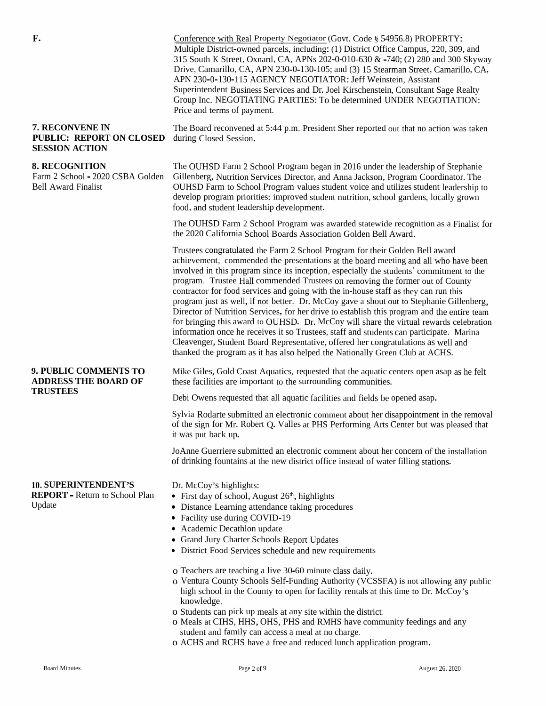| F.                                                                                      | Conference with Real Property Negotiator (Govt. Code § 54956.8) PROPERTY:<br>Multiple District-owned parcels, including: (1) District Office Campus, 220, 309, and<br>315 South K Street, Oxnard, CA, APNs 202-0-010-630 & -740; (2) 280 and 300 Skyway<br>Drive, Camarillo, CA, APN 230-0-130-105; and (3) 15 Stearman Street, Camarillo, CA,<br>APN 230-0-130-115 AGENCY NEGOTIATOR: Jeff Weinstein, Assistant<br>Superintendent Business Services and Dr. Joel Kirschenstein, Consultant Sage Realty<br>Group Inc. NEGOTIATING PARTIES: To be determined UNDER NEGOTIATION:<br>Price and terms of payment.                                                                                                                                                                                                                                                                                                                                                                                |  |  |
|-----------------------------------------------------------------------------------------|----------------------------------------------------------------------------------------------------------------------------------------------------------------------------------------------------------------------------------------------------------------------------------------------------------------------------------------------------------------------------------------------------------------------------------------------------------------------------------------------------------------------------------------------------------------------------------------------------------------------------------------------------------------------------------------------------------------------------------------------------------------------------------------------------------------------------------------------------------------------------------------------------------------------------------------------------------------------------------------------|--|--|
| 7. RECONVENE IN<br>PUBLIC: REPORT ON CLOSED<br><b>SESSION ACTION</b>                    | The Board reconvened at 5:44 p.m. President Sher reported out that no action was taken<br>during Closed Session.                                                                                                                                                                                                                                                                                                                                                                                                                                                                                                                                                                                                                                                                                                                                                                                                                                                                             |  |  |
| <b>8. RECOGNITION</b><br>Farm 2 School - 2020 CSBA Golden<br><b>Bell Award Finalist</b> | The OUHSD Farm 2 School Program began in 2016 under the leadership of Stephanie<br>Gillenberg, Nutrition Services Director, and Anna Jackson, Program Coordinator. The<br>OUHSD Farm to School Program values student voice and utilizes student leadership to<br>develop program priorities: improved student nutrition, school gardens, locally grown<br>food, and student leadership development.                                                                                                                                                                                                                                                                                                                                                                                                                                                                                                                                                                                         |  |  |
|                                                                                         | The OUHSD Farm 2 School Program was awarded statewide recognition as a Finalist for<br>the 2020 California School Boards Association Golden Bell Award.                                                                                                                                                                                                                                                                                                                                                                                                                                                                                                                                                                                                                                                                                                                                                                                                                                      |  |  |
|                                                                                         | Trustees congratulated the Farm 2 School Program for their Golden Bell award<br>achievement, commended the presentations at the board meeting and all who have been<br>involved in this program since its inception, especially the students' commitment to the<br>program. Trustee Hall commended Trustees on removing the former out of County<br>contractor for food services and going with the in-house staff as they can run this<br>program just as well, if not better. Dr. McCoy gave a shout out to Stephanie Gillenberg,<br>Director of Nutrition Services, for her drive to establish this program and the entire team<br>for bringing this award to OUHSD. Dr. McCoy will share the virtual rewards celebration<br>information once he receives it so Trustees, staff and students can participate. Marina<br>Cleavenger, Student Board Representative, offered her congratulations as well and<br>thanked the program as it has also helped the Nationally Green Club at ACHS. |  |  |
| 9. PUBLIC COMMENTS TO<br><b>ADDRESS THE BOARD OF</b>                                    | Mike Giles, Gold Coast Aquatics, requested that the aquatic centers open asap as he felt<br>these facilities are important to the surrounding communities.                                                                                                                                                                                                                                                                                                                                                                                                                                                                                                                                                                                                                                                                                                                                                                                                                                   |  |  |
| <b>TRUSTEES</b>                                                                         | Debi Owens requested that all aquatic facilities and fields be opened asap.                                                                                                                                                                                                                                                                                                                                                                                                                                                                                                                                                                                                                                                                                                                                                                                                                                                                                                                  |  |  |
|                                                                                         | Sylvia Rodarte submitted an electronic comment about her disappointment in the removal<br>of the sign for Mr. Robert Q. Valles at PHS Performing Arts Center but was pleased that<br>it was put back up.                                                                                                                                                                                                                                                                                                                                                                                                                                                                                                                                                                                                                                                                                                                                                                                     |  |  |
|                                                                                         | JoAnne Guerriere submitted an electronic comment about her concern of the installation<br>of drinking fountains at the new district office instead of water filling stations.                                                                                                                                                                                                                                                                                                                                                                                                                                                                                                                                                                                                                                                                                                                                                                                                                |  |  |
| <b>10. SUPERINTENDENT'S</b><br><b>REPORT - Return to School Plan</b><br>Update          | Dr. McCoy's highlights:<br>• First day of school, August $26th$ , highlights<br>• Distance Learning attendance taking procedures<br>• Facility use during COVID-19<br>• Academic Decathlon update<br>• Grand Jury Charter Schools Report Updates<br>• District Food Services schedule and new requirements<br>o Teachers are teaching a live 30-60 minute class daily.<br>o Ventura County Schools Self-Funding Authority (VCSSFA) is not allowing any public<br>high school in the County to open for facility rentals at this time to Dr. McCoy's<br>knowledge.<br>o Students can pick up meals at any site within the district.<br>o Meals at CIHS, HHS, OHS, PHS and RMHS have community feedings and any<br>student and family can access a meal at no charge.<br>o ACHS and RCHS have a free and reduced lunch application program.                                                                                                                                                    |  |  |
|                                                                                         |                                                                                                                                                                                                                                                                                                                                                                                                                                                                                                                                                                                                                                                                                                                                                                                                                                                                                                                                                                                              |  |  |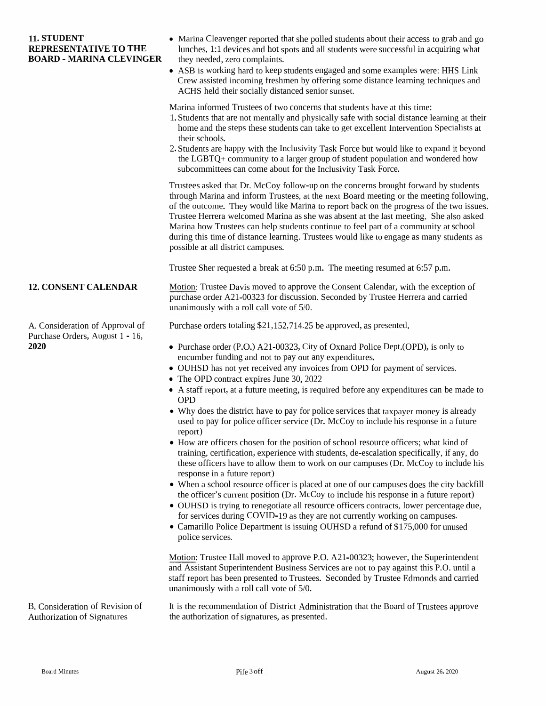#### **11. STUDENT REPRESENTATIVE TO THE BOARD - MARINA CLEVINGER**

- Marina Cleavenger reported that she polled students about their access to grab and go lunches, 1:1 devices and hot spots and all students were successful in acquiring what they needed, zero complaints.
- ASB is working hard to keep students engaged and some examples were: HHS Link Crew assisted incoming freshmen by offering some distance learning techniques and ACHS held their socially distanced senior sunset.

Marina informed Trustees of two concerns that students have at this time:

- 1.Students that are not mentally and <sup>p</sup>hysically safe with social distance learning at their home and the steps these students can take to ge<sup>t</sup> excellent Intervention Specialists at their schools.
- 2.Students are happy with the Inclusivity Task Force but would like to expan<sup>d</sup> it beyond the LGBTQ+ community to <sup>a</sup> larger group of student population and wondered how subcommittees can come about for the Inclusivity Task Force.

Trustees asked that Dr. McCoy follow-up on the concerns brought forward by students through Marina and inform Trustees, at the next Board meeting or the meeting following, of the outcome. They would like Marina to repor<sup>t</sup> back on the progress of the two issues. Trustee Herrera welcomed Marina as she was absent at the last meeting. She also asked Marina how Trustees can help students continue to feel par<sup>t</sup> of <sup>a</sup> community atschool during this time of distance learning. Trustees would like to engage as many students as possible at all district campuses.

Trustee Sher requested <sup>a</sup> break at 6:50 p.m. The meeting resumed at 6:57 p.m.

Purchase Orders, August 1 - 16,

**12. CONSENT CALENDAR** Motion: Trustee Davis moved to approve the Consent Calendar, with the exception of purchase order A21-00323 for discussion. Seconded by Trustee Herrera and carried unanimously with a roll call vote o purchase order A21-00323 for discussion. Seconded by Trustee Herrera and carried unanimously with <sup>a</sup> roll call vote of 5/0.

- **2020** Purchase order (P.O.) A21-00323, City of Oxnard Police Dept.(OPD), is only to encumber funding and not to pay out any expenditures.
	- OUHSD has not ye<sup>t</sup> received any invoices from OPD for paymen<sup>t</sup> of services.
	- The OPD contract expires June 30, 2022
	- <sup>A</sup> staff report, at <sup>a</sup> future meeting, is required before any expenditures can be made to OPD
	- Why does the district have to pay for police services that taxpayer money is already used to pay for police officer service (Dr. McCoy to include his response in <sup>a</sup> future report)
	- How are officers chosen for the position of school resource officers; what kind of training, certification, experience with students, de-escalation specifically, if any, do these officers have to allow them to work on our campuses (Dr. McCoy to include his response in a future report)
	- When a school resource officer is placed at one of our campuses does the city backfill the officer's current position (Dr. McCoy to include his response in <sup>a</sup> future report)
	- OUHSD is trying to renegotiate all resource officers contracts, lower percentage due, for services during COVID-19 as they are not currently working on campuses.
	- Camarillo Police Department is issuing OUHSD a refund of \$175,000 for unused police services.

Motion: Trustee Hall moved to approve P.O. A21-00323; however, the Superintendent and Assistant Superintendent Business Services are not to pay against this P.O. until <sup>a</sup> staff repor<sup>t</sup> has been presented to Trustees. Seconded by Trustee Edmonds and carried unanimously with <sup>a</sup> roll call vote of 5/0.

It is the recommendation of District Administration that the Board of Trustees approve B. Consideration of Revision of It is the recommendation of District Adminis<br>Authorization of Signatures the authorization of signatures, as presented.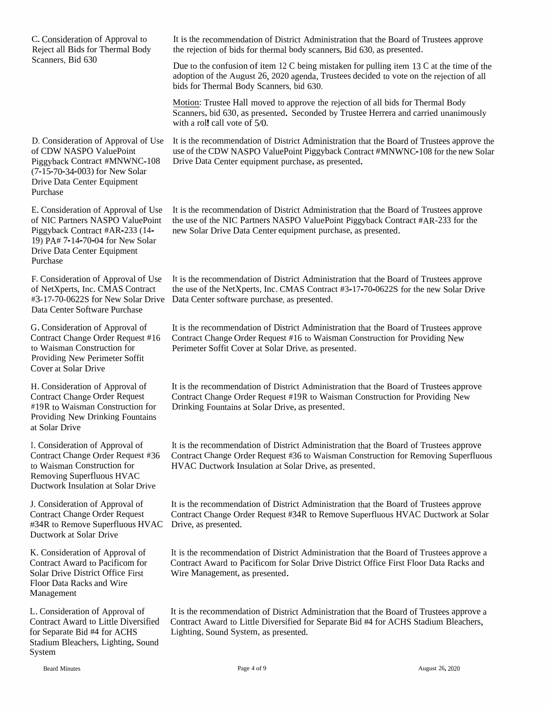C. Consideration of Approval to<br>Baiast all Dida for Thermal Bad Reject all Bids for Thermal Body Scanners, Bid <sup>630</sup>Due to the confusion of item bids for Thermal Body Scanners, bid 630. with a rol! call vote of 5/0. D. Considerationof CDW NASPO ValuePoint<br>Piggyback Contract #MNWN ) for New Solar<br>er Equipment Drive Data Center Equipment Purchaseof CDWE. Considerationof NIC Partners NASPO<br>Piggyback Contract #AR Piggyback Contract #AR-233 (14-Piggyback Contract #AR-233 (14-<br>19) PA# 7-14-70-04 for New Solar<br>Drive Data Center Equipment Drive Data Center Equipment PurchaseF. Consideration of Approval of Use<br>of NetVeerts, Inc. CMAS Contract of NetXperts, Inc. CMAS Contract<br>#3,17.70,0622S for Naw Solar Dri #3-17-70-0622S for NewData Center Software Purchase G. Consideration

Contract Change Order Request #16to Waisman Construction for g New Perimeter Soffit<br>Solar Drive Cover at Solar Drive

H. Consideration of Approval of Contract Change Order Request #19R to Waisman Construction for #19R to Waisman Construction for<br>Providing New Drinking Fountains<br>at Solar Drive at Solar Drive

I. Consideration of Approval of Contract Change Order Request #36Removing Superfluous HVACDuctwork Insulation at Solar Drive

J. Consideration of Approval of Contract Change Order Request #34R to Remove Superfluous HVAC Drive, as presented.<br>Ductwork at Solar Drive Ductwork at Solar Drive

K. Consideration of Approval of<br>Contract Award to Pacificant for Contract Award to Pacificom<br>Solar Drive District Office Ei Contract Award to Pacificom for<br>Solar Drive District Office First<br>Ek Floor Data Racks and Wire Management

L. ConsiderationContract Award to Little Diversified Contract Awardfor Separate Bid #4 for ACHS for Separate Bid #4 for ACHS Lighting, Sound System, as presented.<br>Stadium Bleachers. Lighting. Sound m Bleachers, Lighting, Sound<br>n System

It is the recommendation of District Administration that the Board of Trustees approve<br>the mission of hide for the wall had username. Bid 620, so presented the rejection of bids for thermal body scanners, Bid 630, as presented.

Due to the confusion of item 12 C being mistaken for pulling item 13 C at the time of the adoption of the August 26, 2020 agenda, Trustees decided to vote on the rejection of all hide for Thermal Body Seanners, hid 620.

Motion: Trustee Hall moved to approve the rejection of all bids for Thermal Body<br>Segments hid 620, as aresented. Segended by Trustee Harrens and seguiad vacaim Scanners, bid 630, as presented. Seconded by Trustee Herrera and carried unanimously<br>with a rall call yets of 5%

n of Approval of Use It is the recommendation of District Administration that the Board of Trustees approve the<br>O VelueDoint and a fit is CDW NASDO VelueDoint Bisex heek Centrest #MNWAC 109 feethers was Salam use of the CDW NASPO ValuePoint Piggyback Contract #MNWNC-108 for the new Solar<br>Drive Data Center equipment purchase, as presented. Drive Data Center equipment purchase, as presented.

n of Approval of Use It is the recommendation of District Administration that the Board of Trustees approve ValuePoint the use of the NIC Partners NASPO ValuePoint Piggyback Contract #AR-233 for the new Solar Drive Data Center equipment purchase, as presented.

> Data Center software purchase, as presented. It is the recommendation of District Administration that the Board of Trustees approve<br>the use of the NetVnerte, Inc. CMAS Centrest #2,17,70,06225 for the new Salar Drive the use of the NetXperts, Inc. CMAS Contract #3-17-70-0622S for the new Solar Drive<br>Data Center software purchase, as presented.

n of Approval of It is the recommendation of District Administration that the Board of Trustees approve<br>Contae Board of The Contract Change Order Board #16.6. Weighteen Construction for Description News 6 Contract Change Order Request #16 to Waisman Construction for Providing New<br>Register Soffit Cours at Solar Drive as greented Perimeter Soffit Cover at Solar Drive, as presented.

> It is the recommendation of District Administration that the Board of Trustees approve<br>Contract Change Order Bassett #10B to Weisman Construction for Praviding New Contract Change Order Request #19R to Waisman Construction for Providing NewDrinking Fountains at Solar Drive, as presented.

6 Contract Change Order Request #36 to Waisman Construction for Removing Superfluous<br>IWAC Dustruark Insulation at Salar Drive, as researched HVAC Ductwork Insulation at Solar Drive, as presented. I. Consideration of Approval of It is the recommendation of District Administration that the Board of Trustees approve<br>Contract Change Order Request #36 to Waisman Construction for Removing Superflue<br>to Waisman Constructio

> It is the recommendation of District Administration that the Board of Trustees approve<br>Centre of Chance Order Bassets #24B to Bernard Senarch and WAC Dustruck + Sal Contract Change Order Request #34R to Remove Superfluous HVAC Ductwork at Solar

> It is the recommendation of District Administration that the Board of Trustees approve a<br>Contract Arrest to Decisions for Salar Drive District Office First Flags Data Backs and Contract Award to Pacificom for Solar Drive District Office First Floor Data Racks and Wire Management, as presented.

n of Approval of It is the recommendation of District Administration that the Board of Trustees approve a<br>Lee Little Diversified Contract Award to Little Diversified for Separate Rid #4 for ACUS Stedium Placehous d to Little Diversified for Separate Bid #4 for ACHS Stadium Bleachers,<br>d Svstem, as presented.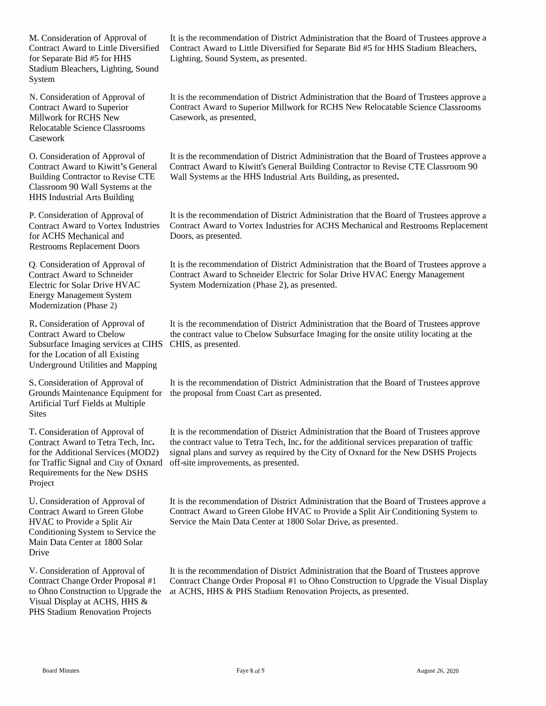for Separate Bid #5 for HHS Stadium Bleachers, Lighting, Sound System

N. Consideration of Approval of Contract Award to Superior Millwork for RCHS New Relocatable Science Classrooms Casework

Classroom <sup>90</sup> Wall Systems at the HHS Industrial Arts Building

for ACHS Mechanical and Restrooms Replacement Doors

Q. Consideration of Approval of Contract Award to Schneider Electric for Solar Drive HVAC Energy Management System Modernization (Phase 2)

R. Consideration of Approval of Contract Award to Cbelow Subsurface Imaging services at CIHS CHIS, as presented, for the Location of all Existing Underground Utilities and Mapping

Artificial Turf Fields at Multiple **Sites** 

T. Consideration of Approval of Contract Award to Tetra Tech, Inc. for Traffic Signal and City of Oxnard off-site improvements, as presented. Requirements for the New DSHS Project

U. Consideration of Approval of Contract Award to Green Globe HVAC to Provide <sup>a</sup> Split Air Conditioning System to Service the Main Data Center at 1800 Solar **Drive** 

V. Consideration of Approval of Contract Change Order Proposal #1 Visual Display at ACHS, HHS & PHS Stadium Renovation Projects

M. Consideration of Approval of It is the recommendation of District Administration that the Board of Trustees approve a Contract Award to Little Diversified Contract Award to Little Diversified for Separate Bid #5 for HHS Contract Award to Little Diversified for Separate Bid #5 for HHS Stadium Bleachers, Lighting, Sound System, as presented.

> It is the recommendation of District Administration that the Board of Trustees approve <sup>a</sup> Contract Award to Superior Millwork for RCHS New Relocatable Science Classrooms Casework, as presented.

O. Consideration of Approval of It is the recommendation of District Administration that the Board of Trustees approve <sup>a</sup> Contract Award to Kiwitt's General Contract Award to Kiwitt's General Building Contractor to Revise CTE Classroom <sup>90</sup> Building Contractor to Revise CTE Wall Systems at the HHS Industrial Arts Building, as presented.

P. Consideration of Approval of It is the recommendation of District Administration that the Board of Trustees approve a Contract Award to Vortex Industries Contract Award to Vortex Industries for ACHS Mechanical and Restr Contract Award to Vortex Industries for ACHS Mechanical and Restrooms Replacement Doors, as presented.

> It is the recommendation of District Administration that the Board of Trustees approve <sup>a</sup> Contract Award to Schneider Electric for Solar Drive HVAC Energy Management System Modernization (Phase 2), as presented.

It is the recommendation of District Administration that the Board of Trustees approve the contract value to Cbelow Subsurface Imaging for the onsite utility locating at the

S. Consideration of Approval of It is the recommendation of District Administration that the Board of Trustees approve Grounds Maintenance Equipment for the proposa<sup>l</sup> from Coast Cart as presented.

for the Additional Services (MOD2) signal <sup>p</sup>lans and survey as required by the City of Oxnard for the New DSHS Projects It is the recommendation of District Administration that the Board of Trustees approve the contract value to Tetra Tech, Inc. for the additional services preparation of traffic

> It is the recommendation of District Administration that the Board of Trustees approve <sup>a</sup> Contract Award to Green Globe HVAC to Provide <sup>a</sup> Split Air Conditioning System to Service the Main Data Center at 1800 Solar Drive, as presented.

to Ohno Construction to Upgrade the at ACHS, HHS & PHS Stadium Renovation Projects, as presented. It is the recommendation of District Administration that the Board of Trustees approve Contract Change Order Proposal #1 to Ohno Construction to Upgrade the Visual Display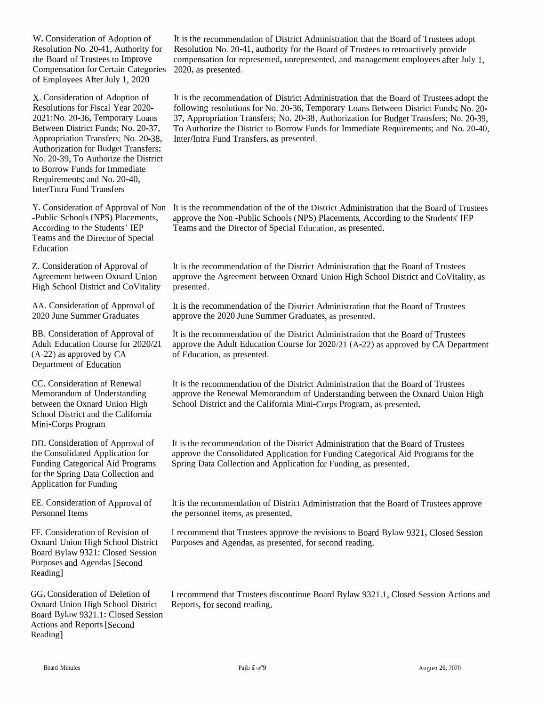W. Consideration of Adoption of Resolution No. 20-41, Authority for the Board of Trustees to Improve Compensation for Certain Compensation for Certain Categories 2020, as presented.<br>of Employees After July 1, 2020

X. Consideration of Adoption of<br>Receptions for Fiscal Veer 2020 Resolutions for Fiscal Year 2020-2021:No. 20-36, Temporary Loans<br>Between District Franks Na. 20.27 Between District Funds; No. 20-37, Appropriation Transfers; No. 20-38, Authorization for Budget Transfers;<br>Ne. 20.20 Te Authorize the District No. 20-39, To Authorize the District to Borrow<br>Pasuimus to Borrow Funds for Immediate<br>Requirements; and No. 20-40,<br>InterTates Fand Tassafon InterTntra Fund Transfers

Y. Consideration of Approval of Non-Public Schools (NPS) Placements, According to the Students' IEP s and the Director of Special Education

Z. Consideration of Approval of Agreement between Oxnard Union High School District and CoVitality

AA. Consideration of Approval of 2020 June Summer Graduates

BB. Consideration of Approval of Adult Education Course for 2020/21  $(A-22)$  as approved by CA Department of Education

CC. Consideration of Renewal<br>Memorandum of Understandin Memorandum of Understanding Memorandum of Understanding<br>between the Oxnard Union High<br>Sakard District and the Galifacti School District and the California Mini-Corps Program

DD. Consideration of Approval of the Consolidated Application for<br>Evading Catagorical Aid Program Funding Categorical Aid Programs for the Spring Data Collection and<br>Angliastics for Evading Application for Funding

EE. Consideration of Approval of Personnel Items

FF. Consideration of Revision of Oxnard Union High School District Board Bylaw 9321: Closed Session<br>Purposes and Agendas [Second Purposes and Agendas [Second<br>Peadinal Reading]

GG. Consideration of Deletion of Oxnard Union High School District Board Bylaw 9321.1: Closed Session<br>Actions and Reports [Second Actions and Reports [Second<br>Peadinal Reading]

It is the recommendation of District Administration that the Board of Trustees adopt<br>Recolution No. 20.41, outbority for the Board of Trustees to astropatively gravide Resolution No. 20-41, authority for the Board of Trustees to retroactively provide<br>comparation for represented unrepresented and management employees ofter In compensation for represented, unrepresented, and management employees after July 1,<br>2020, as researted

It is the recommendation of District Administration that the Board of Trustees adopt the<br>following resolutions for No. 20.26. Terms grave Lasse Between District Fundate M. 20. following resolutions for No. 20-36, Temporary Loans Between<br>27. Agreemistics Transform No. 20, 28, Authenization for Budg following resolutions for No. 20-36, Temporary Loans Between District Funds; No. 20-39,<br>37, Appropriation Transfers; No. 20-38, Authorization for Budget Transfers; No. 20-39,<br>To Authorize the District to Bernow Eunds for I To Authorize the District to Borrow Funds for Immediate Requirements; and No. 20-40, Inter Intra Fund Transfers, as presented. **/**

It is the recommendation of the of the District Administration that the Board<br>
approve the Non-Public Schools (NDS) Pleasments, According to the Stude Y. Consideration of Approval of Non It is the recommendation of the of the District Administration that the Board of Trustees<br>-Public Schools (NPS) Placements, approve the Non -Public Schools (NPS) Placements, According to Teams and the Director of Special Education, as presented.

> It is the recommendation of the District Administration that the Board of Trustees approve the Agreement between Oxnard Union High School District and CoVitality, as<br>massented presented.

It is the recommendation of the District Administration that the Board of Trustees approve the <sup>2020</sup> June Summer Graduates, as presented.

It is the recommendation of the District Administration that the Board of Trustees approve the Adult Education Course for 2020/21 (A-22) as approved by CA Department<br>of Education, as presented. of Education, as presented.

It is the recommendation of the District Administration that the Board of Trustees approve the Renewal Memorandum of Understanding between the Oxnard Union High<br>School District and the California Mini-Corps Program, as presented. School District and the California Mini-Corps Program, as presented.

It is the recommendation of the District Administration that the Board of Trustees approve the Consolidated Application for Funding Categorical Aid Programs for the<br>Spring Data Collection and Application for Funding as appearted Spring Data Collection and Application for Funding, as presented.

It is the recommendation of District Administration that the Board of Trustees approve<br>the neganged items as researched the personne<sup>l</sup> items, as presented.

I recommend that Trustees approve the revisions to Board Bylaw 9321, Closed Session Purposes and Agendas, as presented, for second reading.

I recommend that Trustees discontinue Board Bylaw 9321.1, Closed Session Actions and<br>Reports, for second reading. Reports, for second reading.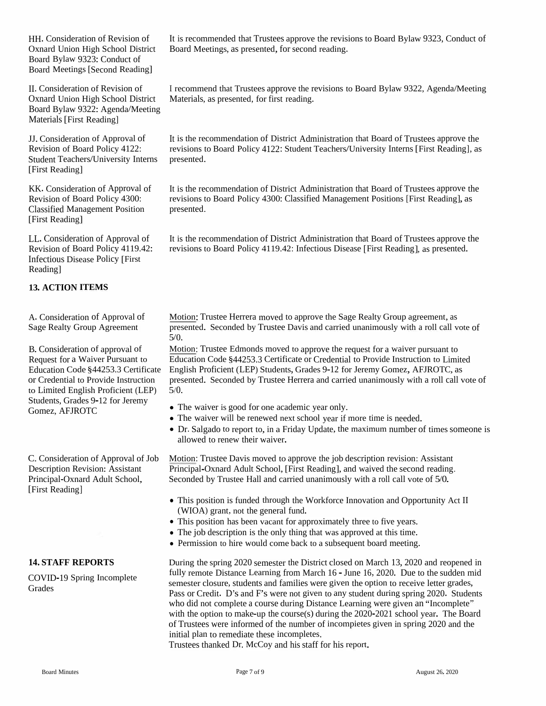HH. Consideration of Revision of Board Bylaw 9323: Conduct of Board Meetings [Second Reading]

II. Consideration of Revision of Oxnard Union High School District Board Bylaw 9322: Agenda/Meeting Materials [First Reading]

JJ.Consideration of Approval of Revision of Board Policy 4122: Student Teachers/University Interns presented. [First Reading]

KK. Consideration of Approval of Revision of Board Policy 4300: Classified Management Position [First Reading]

LL. Consideration of Approval of Revision of Board Policy 4119.42: Infectious Disease Policy [First Reading]

#### **13. ACTION ITEMS**

A. Consideration of Approval of Sage Realty Group Agreement

B. Consideration of approval of Request for <sup>a</sup> Waiver Pursuant to or Credential to Provide Instruction to Limited English Proficient (LEP) Students, Grades 9-12 for Jeremy Gomez, AFJROTC

Description Revision: Assistant Principal-Oxnard Adult School, [First Reading]

#### **14. STAFF REPORTS**

COVID-19 Spring Incomplete Grades

Oxnard Union High School District Board Meetings, as presented, for second reading. It is recommended that Trustees approve the revisions to Board Bylaw 9323, Conduct of

> <sup>I</sup> recommend that Trustees approve the revisions to Board Bylaw 9322, Agenda/Meeting Materials, as presented, for first reading.

It is the recommendation of District Administration that Board of Trustees approve the revisions to Board Policy 4122: Student Teachers/University Interns [First Reading], as

It is the recommendation of District Administration that Board of Trustees approve the revisions to Board Policy 4300: Classified Management Positions [First Reading], as presented.

It is the recommendation of District Administration that Board of Trustees approve the revisions to Board Policy 4119.42: Infectious Disease [First Reading], as presented.

Motion: Trustee Herrera moved to approve the Sage Realty Group agreement, as presented. Seconded by Trustee Davis and carried unanimously with <sup>a</sup> roll call vote of 5/0.

Education Code §44253.3 Certificate English Proficient (LEP) Students, Grades 9-12 for Jeremy Gomez, AFJROTC, as Motion: Trustee Edmonds moved to approve the reques<sup>t</sup> for <sup>a</sup> waiver pursuan<sup>t</sup> to Education Code §44253.3 Certificate or Credential to Provide Instruction to Limited presented. Seconded by Trustee Herrera and carried unanimously with <sup>a</sup> roll call vote of 5/0.

- The waiver is good for one academic year only.
- The waiver will be renewed next school year if more time is needed.
- Dr. Salgado to repor<sup>t</sup> to, in <sup>a</sup> Friday Update, the maximum number of times someone is allowed to renew their waiver.

C.Consideration of Approval of Job Motion: Trustee Davis moved to approve the job description revision: Assistant Principal-Oxnard Adult School, [First Reading], and waived the second reading. Seconded by Trustee Hall and carried unanimously with <sup>a</sup> roll call vote of 5/0.

- This position is funded through the Workforce Innovation and Opportunity Act II (WIOA) grant, not the general fund.
- This position has been vacant for approximately three to five years.
- The job description is the only thing that was approved at this time.
- Permission to hire would come back to a subsequent board meeting.

During the spring 2020 semester the District closed on March 13, 2020 and reopened in fully remote Distance Learning from March <sup>16</sup> - June 16, 2020. Due to the sudden mid semester closure, students and families were <sup>g</sup>iven the option to receive letter grades, Pass or Credit. D's and F's were not given to any student during spring 2020. Students who did not complete a course during Distance Learning were given an "Incomplete" with the option to make-up the course(s) during the 2020-2021 school year. The Board of Trustees were informed of the number of incompietes given in spring 2020 and the initial plan to remediate these incompletes.

Trustees thanked Dr. McCoy and his staff for his report.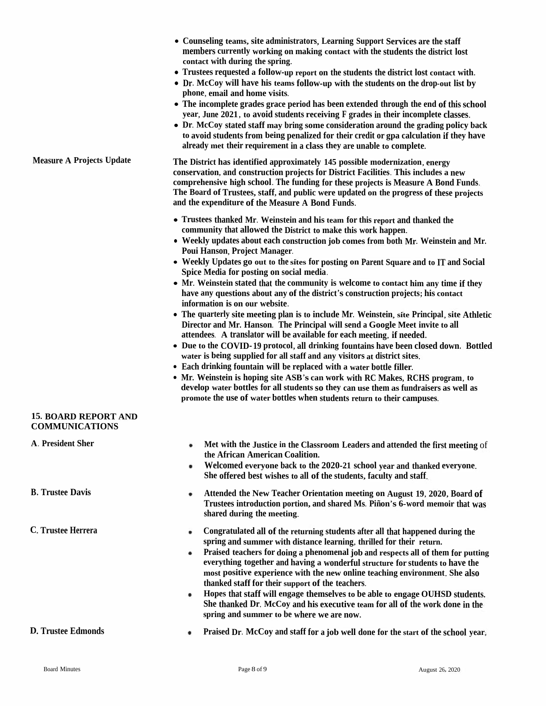|                                                                                                                                                                                                                                                                                                                                                                                                                                                                                                | • Counseling teams, site administrators, Learning Support Services are the staff<br>members currently working on making contact with the students the district lost<br>contact with during the spring.<br>• Trustees requested a follow-up report on the students the district lost contact with.<br>• Dr. McCoy will have his teams follow-up with the students on the drop-out list by                                                                                 |                                                                                                                                                                                                                                  |  |  |
|------------------------------------------------------------------------------------------------------------------------------------------------------------------------------------------------------------------------------------------------------------------------------------------------------------------------------------------------------------------------------------------------------------------------------------------------------------------------------------------------|--------------------------------------------------------------------------------------------------------------------------------------------------------------------------------------------------------------------------------------------------------------------------------------------------------------------------------------------------------------------------------------------------------------------------------------------------------------------------|----------------------------------------------------------------------------------------------------------------------------------------------------------------------------------------------------------------------------------|--|--|
|                                                                                                                                                                                                                                                                                                                                                                                                                                                                                                | phone, email and home visits.<br>• The incomplete grades grace period has been extended through the end of this school<br>year, June 2021, to avoid students receiving F grades in their incomplete classes.<br>• Dr. McCoy stated staff may bring some consideration around the grading policy back<br>to avoid students from being penalized for their credit or gpa calculation if they have<br>already met their requirement in a class they are unable to complete. |                                                                                                                                                                                                                                  |  |  |
| <b>Measure A Projects Update</b>                                                                                                                                                                                                                                                                                                                                                                                                                                                               | The District has identified approximately 145 possible modernization, energy<br>conservation, and construction projects for District Facilities. This includes a new<br>comprehensive high school. The funding for these projects is Measure A Bond Funds.<br>The Board of Trustees, staff, and public were updated on the progress of these projects<br>and the expenditure of the Measure A Bond Funds.                                                                |                                                                                                                                                                                                                                  |  |  |
|                                                                                                                                                                                                                                                                                                                                                                                                                                                                                                | • Trustees thanked Mr. Weinstein and his team for this report and thanked the<br>community that allowed the District to make this work happen.                                                                                                                                                                                                                                                                                                                           |                                                                                                                                                                                                                                  |  |  |
|                                                                                                                                                                                                                                                                                                                                                                                                                                                                                                | • Weekly updates about each construction job comes from both Mr. Weinstein and Mr.<br>Poui Hanson, Project Manager.                                                                                                                                                                                                                                                                                                                                                      |                                                                                                                                                                                                                                  |  |  |
|                                                                                                                                                                                                                                                                                                                                                                                                                                                                                                | • Weekly Updates go out to the sites for posting on Parent Square and to IT and Social<br>Spice Media for posting on social media.                                                                                                                                                                                                                                                                                                                                       |                                                                                                                                                                                                                                  |  |  |
|                                                                                                                                                                                                                                                                                                                                                                                                                                                                                                | • Mr. Weinstein stated that the community is welcome to contact him any time if they<br>have any questions about any of the district's construction projects; his contact<br>information is on our website.                                                                                                                                                                                                                                                              |                                                                                                                                                                                                                                  |  |  |
|                                                                                                                                                                                                                                                                                                                                                                                                                                                                                                | • The quarterly site meeting plan is to include Mr. Weinstein, site Principal, site Athletic<br>Director and Mr. Hanson. The Principal will send a Google Meet invite to all                                                                                                                                                                                                                                                                                             |                                                                                                                                                                                                                                  |  |  |
|                                                                                                                                                                                                                                                                                                                                                                                                                                                                                                | attendees. A translator will be available for each meeting, if needed.<br>• Due to the COVID-19 protocol, all drinking fountains have been closed down. Bottled<br>water is being supplied for all staff and any visitors at district sites.<br>• Each drinking fountain will be replaced with a water bottle filler.                                                                                                                                                    |                                                                                                                                                                                                                                  |  |  |
|                                                                                                                                                                                                                                                                                                                                                                                                                                                                                                | • Mr. Weinstein is hoping site ASB's can work with RC Makes, RCHS program, to<br>develop water bottles for all students so they can use them as fundraisers as well as<br>promote the use of water bottles when students return to their campuses.                                                                                                                                                                                                                       |                                                                                                                                                                                                                                  |  |  |
| <b>15. BOARD REPORT AND</b><br><b>COMMUNICATIONS</b>                                                                                                                                                                                                                                                                                                                                                                                                                                           |                                                                                                                                                                                                                                                                                                                                                                                                                                                                          |                                                                                                                                                                                                                                  |  |  |
| A. President Sher                                                                                                                                                                                                                                                                                                                                                                                                                                                                              | the African American Coalition.<br>٠                                                                                                                                                                                                                                                                                                                                                                                                                                     | Met with the Justice in the Classroom Leaders and attended the first meeting of<br>Welcomed everyone back to the 2020-21 school year and thanked everyone.<br>She offered best wishes to all of the students, faculty and staff. |  |  |
| <b>B.</b> Trustee Davis                                                                                                                                                                                                                                                                                                                                                                                                                                                                        | ٠<br>shared during the meeting.                                                                                                                                                                                                                                                                                                                                                                                                                                          | Attended the New Teacher Orientation meeting on August 19, 2020, Board of<br>Trustees introduction portion, and shared Ms. Piñon's 6-word memoir that was                                                                        |  |  |
| C. Trustee Herrera<br>Congratulated all of the returning students after all that happened during the<br>٠<br>spring and summer with distance learning, thrilled for their return.<br>Praised teachers for doing a phenomenal job and respects all of them for putting<br>٠<br>everything together and having a wonderful structure for students to have the<br>most positive experience with the new online teaching environment. She also<br>thanked staff for their support of the teachers. |                                                                                                                                                                                                                                                                                                                                                                                                                                                                          |                                                                                                                                                                                                                                  |  |  |
|                                                                                                                                                                                                                                                                                                                                                                                                                                                                                                | Hopes that staff will engage themselves to be able to engage OUHSD students.<br>٠<br>She thanked Dr. McCoy and his executive team for all of the work done in the<br>spring and summer to be where we are now.                                                                                                                                                                                                                                                           |                                                                                                                                                                                                                                  |  |  |
| <b>D. Trustee Edmonds</b>                                                                                                                                                                                                                                                                                                                                                                                                                                                                      | Praised Dr. McCoy and staff for a job well done for the start of the school year,                                                                                                                                                                                                                                                                                                                                                                                        |                                                                                                                                                                                                                                  |  |  |
| <b>Board Minutes</b>                                                                                                                                                                                                                                                                                                                                                                                                                                                                           | Page 8 of 9                                                                                                                                                                                                                                                                                                                                                                                                                                                              | August 26, 2020                                                                                                                                                                                                                  |  |  |
|                                                                                                                                                                                                                                                                                                                                                                                                                                                                                                |                                                                                                                                                                                                                                                                                                                                                                                                                                                                          |                                                                                                                                                                                                                                  |  |  |